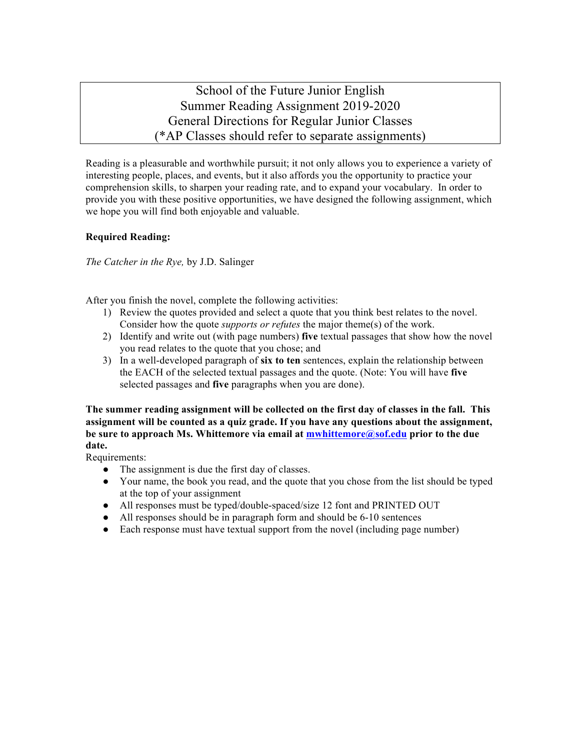School of the Future Junior English Summer Reading Assignment 2019-2020 General Directions for Regular Junior Classes (\*AP Classes should refer to separate assignments)

Reading is a pleasurable and worthwhile pursuit; it not only allows you to experience a variety of interesting people, places, and events, but it also affords you the opportunity to practice your comprehension skills, to sharpen your reading rate, and to expand your vocabulary. In order to provide you with these positive opportunities, we have designed the following assignment, which we hope you will find both enjoyable and valuable.

## **Required Reading:**

*The Catcher in the Rye,* by J.D. Salinger

After you finish the novel, complete the following activities:

- 1) Review the quotes provided and select a quote that you think best relates to the novel. Consider how the quote *supports or refutes* the major theme(s) of the work.
- 2) Identify and write out (with page numbers) **five** textual passages that show how the novel you read relates to the quote that you chose; and
- 3) In a well-developed paragraph of **six to ten** sentences, explain the relationship between the EACH of the selected textual passages and the quote. (Note: You will have **five** selected passages and **five** paragraphs when you are done).

**The summer reading assignment will be collected on the first day of classes in the fall. This assignment will be counted as a quiz grade. If you have any questions about the assignment, be sure to approach Ms. Whittemore via email at mwhittemore@sof.edu prior to the due date.**

Requirements:

- The assignment is due the first day of classes.
- Your name, the book you read, and the quote that you chose from the list should be typed at the top of your assignment
- All responses must be typed/double-spaced/size 12 font and PRINTED OUT
- All responses should be in paragraph form and should be 6-10 sentences
- Each response must have textual support from the novel (including page number)